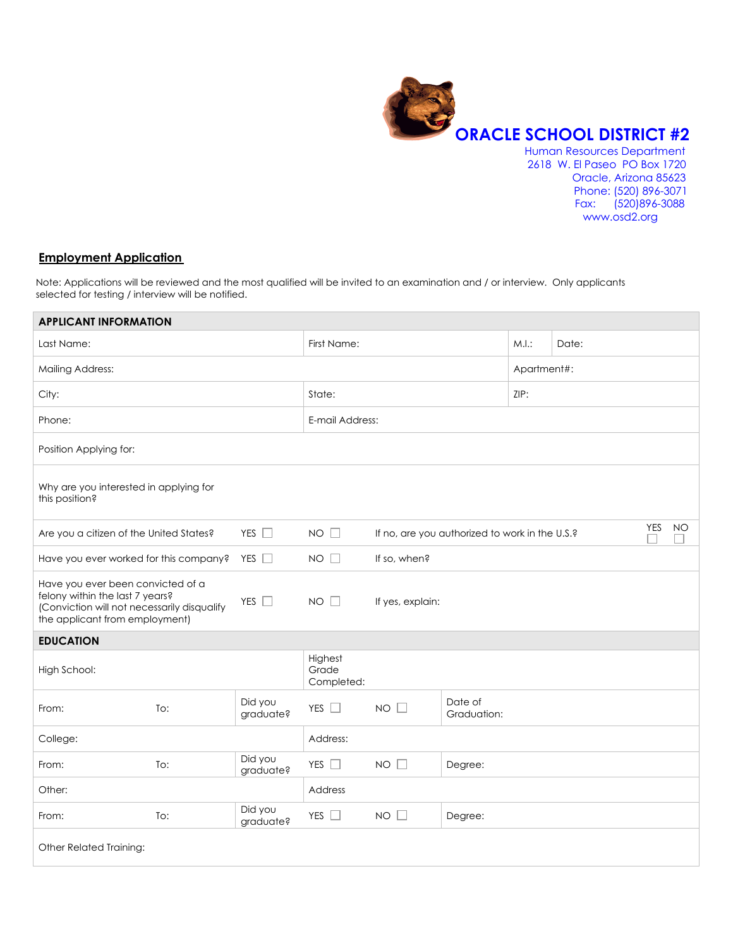

 Oracle, Arizona 85623 Phone: (520) 896-3071 Fax: (520)896-3088 www.osd2.org

# **Employment Application**

Note: Applications will be reviewed and the most qualified will be invited to an examination and / or interview. Only applicants selected for testing / interview will be notified.

| <b>APPLICANT INFORMATION</b>                                                                                                                          |                                        |                      |                                |                                                              |                        |      |  |
|-------------------------------------------------------------------------------------------------------------------------------------------------------|----------------------------------------|----------------------|--------------------------------|--------------------------------------------------------------|------------------------|------|--|
| Last Name:                                                                                                                                            |                                        | First Name:          |                                | M.I.:                                                        | Date:                  |      |  |
| <b>Mailing Address:</b>                                                                                                                               |                                        |                      |                                |                                                              | Apartment#:            |      |  |
| City:                                                                                                                                                 |                                        |                      | State:                         |                                                              |                        | ZIP: |  |
| Phone:                                                                                                                                                |                                        |                      | E-mail Address:                |                                                              |                        |      |  |
| Position Applying for:                                                                                                                                |                                        |                      |                                |                                                              |                        |      |  |
| this position?                                                                                                                                        | Why are you interested in applying for |                      |                                |                                                              |                        |      |  |
| Are you a citizen of the United States?                                                                                                               |                                        | YES $\Box$           | $NO$ $\Box$                    | YES<br>NO.<br>If no, are you authorized to work in the U.S.? |                        |      |  |
| Have you ever worked for this company?                                                                                                                |                                        | YES $\Box$           | $NO$ $\Box$                    | If so, when?                                                 |                        |      |  |
| Have you ever been convicted of a<br>felony within the last 7 years?<br>(Conviction will not necessarily disqualify<br>the applicant from employment) |                                        | YES $\square$        | $NO$ $ $                       | If yes, explain:                                             |                        |      |  |
| <b>EDUCATION</b>                                                                                                                                      |                                        |                      |                                |                                                              |                        |      |  |
| High School:                                                                                                                                          |                                        |                      | Highest<br>Grade<br>Completed: |                                                              |                        |      |  |
| From:                                                                                                                                                 | To:                                    | Did you<br>graduate? | YES $\square$                  | $NO$ $\Box$                                                  | Date of<br>Graduation: |      |  |
| College:                                                                                                                                              |                                        |                      | Address:                       |                                                              |                        |      |  |
| From:                                                                                                                                                 | To:                                    | Did you<br>graduate? | YES $\square$                  | $NO$ $\Box$                                                  | Degree:                |      |  |
| Other:                                                                                                                                                |                                        |                      | Address                        |                                                              |                        |      |  |
| From:                                                                                                                                                 | To:                                    | Did you<br>graduate? | YES $\square$                  | $NO$ $\Box$                                                  | Degree:                |      |  |
| Other Related Training:                                                                                                                               |                                        |                      |                                |                                                              |                        |      |  |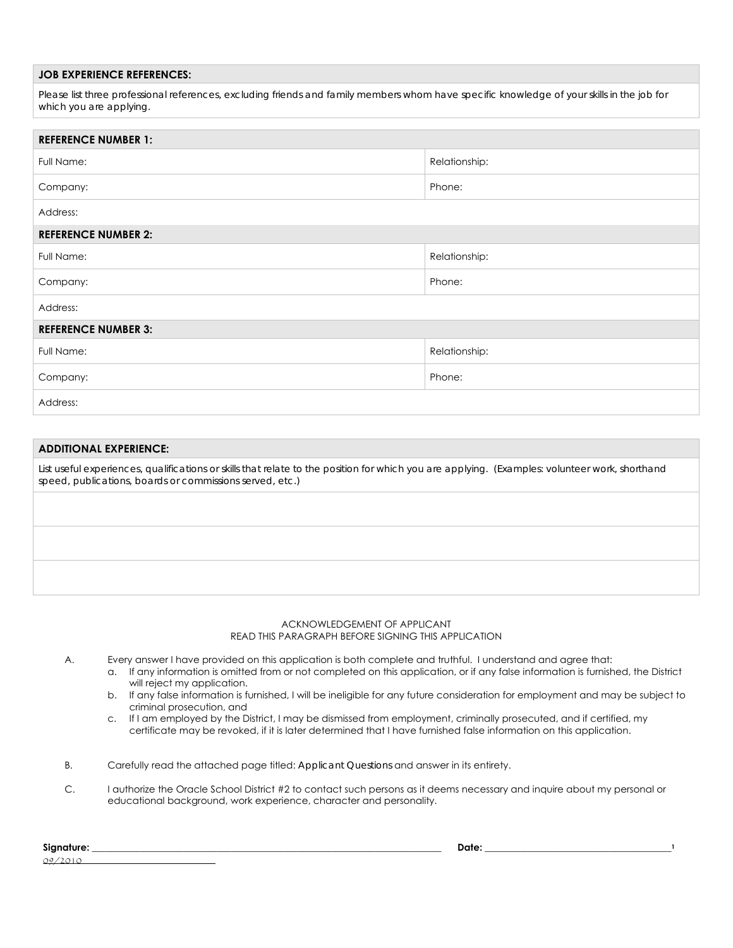# **JOB EXPERIENCE REFERENCES:**

Please list three professional references, excluding friends and family members whom have specific knowledge of your skills in the job for *which you are applying.* 

| <b>REFERENCE NUMBER 1:</b> |               |  |  |
|----------------------------|---------------|--|--|
| Full Name:                 | Relationship: |  |  |
| Company:                   | Phone:        |  |  |
| Address:                   |               |  |  |
| <b>REFERENCE NUMBER 2:</b> |               |  |  |
| Full Name:                 | Relationship: |  |  |
| Company:                   | Phone:        |  |  |
| Address:                   |               |  |  |
| <b>REFERENCE NUMBER 3:</b> |               |  |  |
| Full Name:                 | Relationship: |  |  |
| Company:                   | Phone:        |  |  |
| Address:                   |               |  |  |

# **ADDITIONAL EXPERIENCE:**

List useful experiences, qualifications or skills that relate to the position for which you are applying. (Examples: volunteer work, shorthand *speed, publications, boards or commissions served, etc.)* 

#### ACKNOWLEDGEMENT OF APPLICANT READ THIS PARAGRAPH BEFORE SIGNING THIS APPLICATION

A. Every answer I have provided on this application is both complete and truthful. I understand and agree that:

- a. If any information is omitted from or not completed on this application, or if any false information is furnished, the District will reject my application.
- b. If any false information is furnished, I will be ineligible for any future consideration for employment and may be subject to criminal prosecution, and
- c. If I am employed by the District, I may be dismissed from employment, criminally prosecuted, and if certified, my certificate may be revoked, if it is later determined that I have furnished false information on this application.
- B. Carefully read the attached page titled: *Applicant Questions* and answer in its entirety.
- C. I authorize the Oracle School District #2 to contact such persons as it deems necessary and inquire about my personal or educational background, work experience, character and personality.

| Signature: | Date: |  |
|------------|-------|--|
| ೧೦ /       |       |  |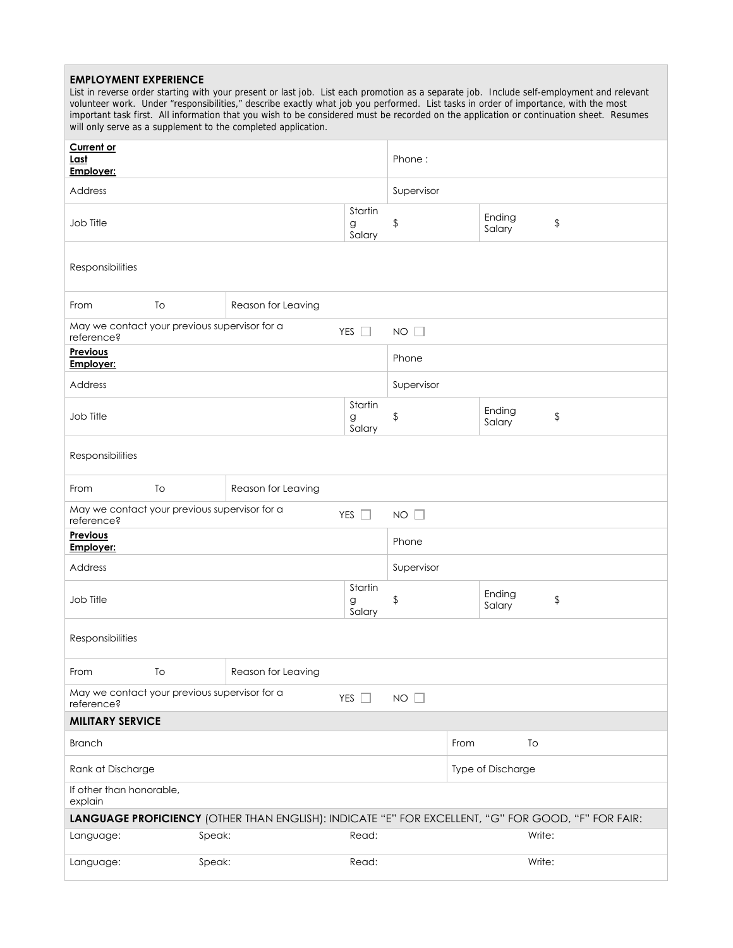# **EMPLOYMENT EXPERIENCE**  List in reverse order starting with your present or last job. List each promotion as a separate job. Include self-employment and relevant volunteer work. Under "responsibilities," describe exactly what job you performed. List tasks in order of importance, with the most important task first. All information that you wish to be considered must be recorded on the application or continuation sheet. Resumes will only serve as a supplement to the completed application. **Current or Last Employer:** Phone : Address Supervisor Job Title Startin g Salary \$ Ending Salary \$ **Responsibilities** From To Reason for Leaving May we contact your previous supervisor for a reference? The contact your provides supervisor for a set of the YES  $\Box$  NO **Previous Employer: Employer: Phone** Address Supervisor Job Title **Startin** g Salary \$ Ending Salary \$ Responsibilities From To Reason for Leaving May we contact your previous supervisor for a reference? YES NO **Previous Explorer:**<br> **Employer:**<br>
Phone Address Supervisor Job Title **Startin** g Salary \$ Ending Salary \$ Responsibilities From To Reason for Leaving May we contact your previous supervisor for a reference? YES NO **MILITARY SERVICE**  Branch To and the state of the state of the state of the state of the state of the state of the state of the state of the state of the state of the state of the state of the state of the state of the state of the state of Rank at Discharge Type of Discharge Type of Discharge Type of Discharge Type of Discharge Type of Discharge Type of Discharge Type of Discharge Type of Discharge Type of Discharge Type of Discharge Type of Discharge Type o If other than honorable, explain **LANGUAGE PROFICIENCY** (OTHER THAN ENGLISH): INDICATE "E" FOR EXCELLENT, "G" FOR GOOD, "F" FOR FAIR: Language: Speak: Speak: Read: Read: Write: Language: Speak: Speak: Read: Read: Write: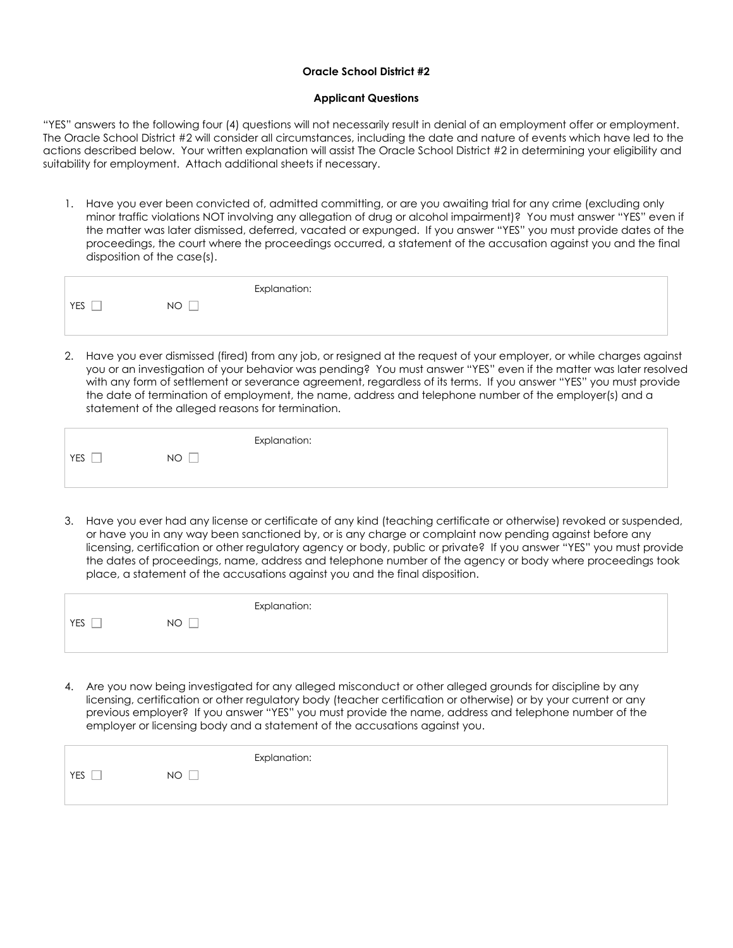# **Oracle School District #2**

### **Applicant Questions**

"YES" answers to the following four (4) questions will not necessarily result in denial of an employment offer or employment. The Oracle School District #2 will consider all circumstances, including the date and nature of events which have led to the actions described below. Your written explanation will assist The Oracle School District #2 in determining your eligibility and suitability for employment. Attach additional sheets if necessary.

1. Have you ever been convicted of, admitted committing, or are you awaiting trial for any crime (excluding only minor traffic violations NOT involving any allegation of drug or alcohol impairment)? You must answer "YES" even if the matter was later dismissed, deferred, vacated or expunged. If you answer "YES" you must provide dates of the proceedings, the court where the proceedings occurred, a statement of the accusation against you and the final disposition of the case(s).

|                                      |                     | Explanation: |
|--------------------------------------|---------------------|--------------|
| $\overline{\phantom{a}}$<br>YES<br>_ | _<br><b>NO</b><br>- |              |
|                                      |                     |              |

2. Have you ever dismissed (fired) from any job, or resigned at the request of your employer, or while charges against you or an investigation of your behavior was pending? You must answer "YES" even if the matter was later resolved with any form of settlement or severance agreement, regardless of its terms. If you answer "YES" you must provide the date of termination of employment, the name, address and telephone number of the employer(s) and a statement of the alleged reasons for termination.

|            |           | Explanation: |
|------------|-----------|--------------|
| <b>YES</b> | <b>NO</b> |              |
|            |           |              |

3. Have you ever had any license or certificate of any kind (teaching certificate or otherwise) revoked or suspended, or have you in any way been sanctioned by, or is any charge or complaint now pending against before any licensing, certification or other regulatory agency or body, public or private? If you answer "YES" you must provide the dates of proceedings, name, address and telephone number of the agency or body where proceedings took place, a statement of the accusations against you and the final disposition.

|           |           | Explanation: |
|-----------|-----------|--------------|
| YES<br>__ | <b>NO</b> |              |
|           |           |              |

4. Are you now being investigated for any alleged misconduct or other alleged grounds for discipline by any licensing, certification or other regulatory body (teacher certification or otherwise) or by your current or any previous employer? If you answer "YES" you must provide the name, address and telephone number of the employer or licensing body and a statement of the accusations against you.

|     |           | Explanation: |
|-----|-----------|--------------|
| YES | <b>NO</b> |              |
|     |           |              |